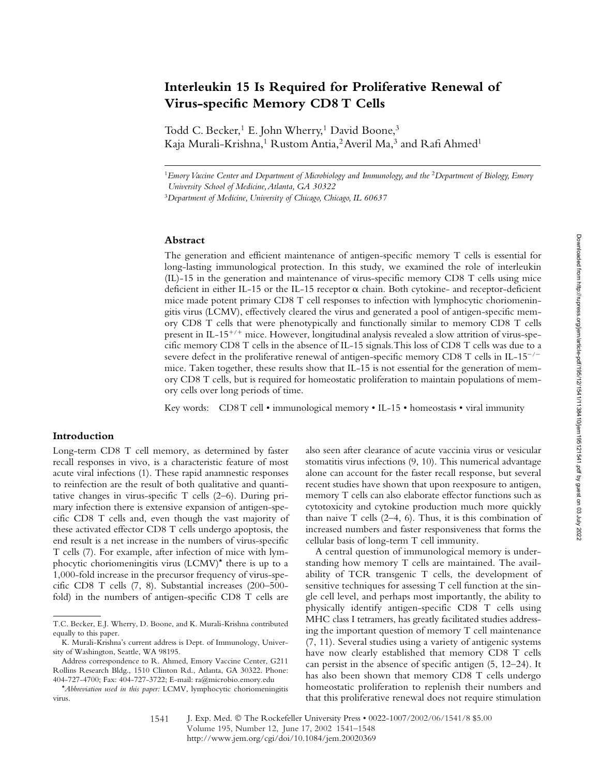# **Interleukin 15 Is Required for Proliferative Renewal of Virus-specific Memory CD8 T Cells**

Todd C. Becker,<sup>1</sup> E. John Wherry,<sup>1</sup> David Boone,<sup>3</sup> Kaja Murali-Krishna,<sup>1</sup> Rustom Antia,<sup>2</sup> Averil Ma,<sup>3</sup> and Rafi Ahmed<sup>1</sup>

<sup>1</sup>*Emory Vaccine Center and Department of Microbiology and Immunology, and the* <sup>2</sup>*Department of Biology, Emory University School of Medicine, Atlanta, GA 30322*

<sup>3</sup>*Department of Medicine, University of Chicago, Chicago, IL 60637*

# **Abstract**

The generation and efficient maintenance of antigen-specific memory T cells is essential for long-lasting immunological protection. In this study, we examined the role of interleukin (IL)-15 in the generation and maintenance of virus-specific memory CD8 T cells using mice deficient in either IL-15 or the IL-15 receptor  $\alpha$  chain. Both cytokine- and receptor-deficient mice made potent primary CD8 T cell responses to infection with lymphocytic choriomeningitis virus (LCMV), effectively cleared the virus and generated a pool of antigen-specific memory CD8 T cells that were phenotypically and functionally similar to memory CD8 T cells present in IL-15<sup>+/+</sup> mice. However, longitudinal analysis revealed a slow attrition of virus-specific memory CD8 T cells in the absence of IL-15 signals.This loss of CD8 T cells was due to a severe defect in the proliferative renewal of antigen-specific memory CD8 T cells in IL-15<sup>-/-</sup> mice. Taken together, these results show that IL-15 is not essential for the generation of memory CD8 T cells, but is required for homeostatic proliferation to maintain populations of memory cells over long periods of time.

Key words: CD8 T cell • immunological memory • IL-15 • homeostasis • viral immunity

## **Introduction**

Long-term CD8 T cell memory, as determined by faster recall responses in vivo, is a characteristic feature of most acute viral infections (1). These rapid anamnestic responses to reinfection are the result of both qualitative and quantitative changes in virus-specific T cells (2–6). During primary infection there is extensive expansion of antigen-specific CD8 T cells and, even though the vast majority of these activated effector CD8 T cells undergo apoptosis, the end result is a net increase in the numbers of virus-specific T cells (7). For example, after infection of mice with lymphocytic choriomeningitis virus (LCMV)\* there is up to a 1,000-fold increase in the precursor frequency of virus-specific CD8 T cells (7, 8). Substantial increases (200–500 fold) in the numbers of antigen-specific CD8 T cells are

also seen after clearance of acute vaccinia virus or vesicular stomatitis virus infections (9, 10). This numerical advantage alone can account for the faster recall response, but several recent studies have shown that upon reexposure to antigen, memory T cells can also elaborate effector functions such as cytotoxicity and cytokine production much more quickly than naive  $T$  cells  $(2-4, 6)$ . Thus, it is this combination of increased numbers and faster responsiveness that forms the cellular basis of long-term T cell immunity.

A central question of immunological memory is understanding how memory T cells are maintained. The availability of TCR transgenic T cells, the development of sensitive techniques for assessing T cell function at the single cell level, and perhaps most importantly, the ability to physically identify antigen-specific CD8 T cells using MHC class I tetramers, has greatly facilitated studies addressing the important question of memory T cell maintenance (7, 11). Several studies using a variety of antigenic systems have now clearly established that memory CD8 T cells can persist in the absence of specific antigen (5, 12–24). It has also been shown that memory CD8 T cells undergo homeostatic proliferation to replenish their numbers and that this proliferative renewal does not require stimulation

T.C. Becker, E.J. Wherry, D. Boone, and K. Murali-Krishna contributed equally to this paper.

K. Murali-Krishna's current address is Dept. of Immunology, University of Washington, Seattle, WA 98195.

Address correspondence to R. Ahmed, Emory Vaccine Center, G211 Rollins Research Bldg., 1510 Clinton Rd., Atlanta, GA 30322. Phone: 404-727-4700; Fax: 404-727-3722; E-mail: ra@microbio.emory.edu

<sup>\*</sup>*Abbreviation used in this paper:* LCMV, lymphocytic choriomeningitis virus.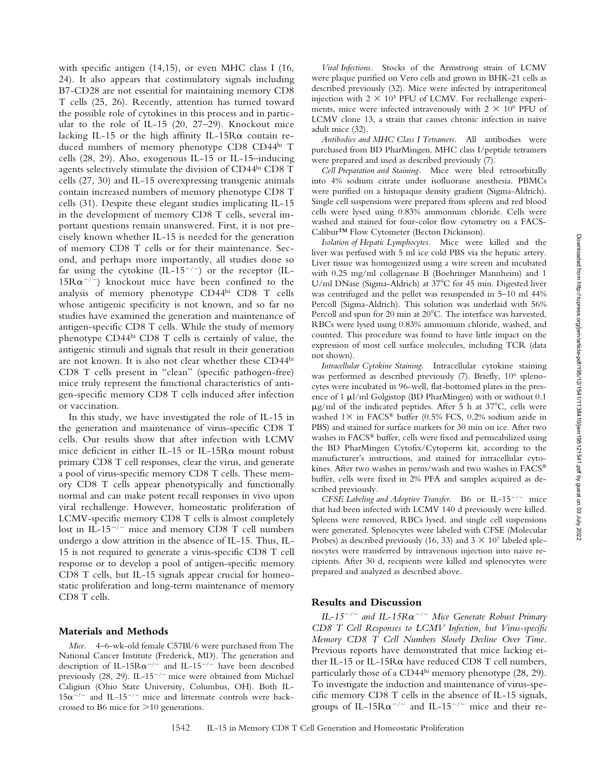with specific antigen (14,15), or even MHC class I (16, 24). It also appears that costimulatory signals including B7-CD28 are not essential for maintaining memory CD8 T cells (25, 26). Recently, attention has turned toward the possible role of cytokines in this process and in particular to the role of IL-15 (20, 27–29). Knockout mice lacking IL-15 or the high affinity IL-15 $R\alpha$  contain reduced numbers of memory phenotype CD8 CD44hi T cells (28, 29). Also, exogenous IL-15 or IL-15–inducing agents selectively stimulate the division of CD44hi CD8 T cells (27, 30) and IL-15 overexpressing transgenic animals contain increased numbers of memory phenotype CD8 T cells (31). Despite these elegant studies implicating IL-15 in the development of memory CD8 T cells, several important questions remain unanswered. First, it is not precisely known whether IL-15 is needed for the generation of memory CD8 T cells or for their maintenance. Second, and perhaps more importantly, all studies done so far using the cytokine  $(IL-15^{-/-})$  or the receptor  $(IL 15R\alpha^{-/-}$ ) knockout mice have been confined to the analysis of memory phenotype CD44hi CD8 T cells whose antigenic specificity is not known, and so far no studies have examined the generation and maintenance of antigen-specific CD8 T cells. While the study of memory phenotype CD44hi CD8 T cells is certainly of value, the antigenic stimuli and signals that result in their generation are not known. It is also not clear whether these CD44hi CD8 T cells present in "clean" (specific pathogen-free) mice truly represent the functional characteristics of antigen-specific memory CD8 T cells induced after infection or vaccination.

In this study, we have investigated the role of IL-15 in the generation and maintenance of virus-specific CD8 T cells. Our results show that after infection with LCMV mice deficient in either IL-15 or IL-15R $\alpha$  mount robust primary CD8 T cell responses, clear the virus, and generate a pool of virus-specific memory CD8 T cells. These memory CD8 T cells appear phenotypically and functionally normal and can make potent recall responses in vivo upon viral rechallenge. However, homeostatic proliferation of LCMV-specific memory CD8 T cells is almost completely lost in IL-15<sup>-/-</sup> mice and memory CD8 T cell numbers undergo a slow attrition in the absence of IL-15. Thus, IL-15 is not required to generate a virus-specific CD8 T cell response or to develop a pool of antigen-specific memory CD8 T cells, but IL-15 signals appear crucial for homeostatic proliferation and long-term maintenance of memory CD8 T cells.

# **Materials and Methods**

*Mice.* 4–6-wk-old female C57Bl/6 were purchased from The National Cancer Institute (Frederick, MD). The generation and description of IL-15 $R\alpha^{-/-}$  and IL-15<sup>-/-</sup> have been described previously  $(28, 29)$ . IL-15<sup>-/-</sup> mice were obtained from Michael Caligiuri (Ohio State University, Columbus, OH). Both IL- $15\alpha^{-/-}$  and IL-15<sup>-/-</sup> mice and littermate controls were backcrossed to B6 mice for  $>10$  generations.

*Viral Infections.* Stocks of the Armstrong strain of LCMV were plaque purified on Vero cells and grown in BHK-21 cells as described previously (32). Mice were infected by intraperitoneal injection with  $2 \times 10^5$  PFU of LCMV. For rechallenge experiments, mice were infected intravenously with  $2 \times 10^6$  PFU of LCMV clone 13, a strain that causes chronic infection in naive adult mice (32).

*Antibodies and MHC Class I Tetramers.* All antibodies were purchased from BD PharMingen. MHC class I/peptide tetramers were prepared and used as described previously (7).

*Cell Preparation and Staining.* Mice were bled retroorbitally into 4% sodium citrate under isofluorane anesthesia. PBMCs were purified on a histopaque density gradient (Sigma-Aldrich). Single cell suspensions were prepared from spleens and red blood cells were lysed using 0.83% ammonium chloride. Cells were washed and stained for four-color flow cytometry on a FACS-Calibur™ Flow Cytometer (Becton Dickinson).

*Isolation of Hepatic Lymphocytes.* Mice were killed and the liver was perfused with 5 ml ice cold PBS via the hepatic artery. Liver tissue was homogenized using a wire screen and incubated with 0.25 mg/ml collagenase B (Boehringer Mannheim) and 1 U/ml DNase (Sigma-Aldrich) at 37°C for 45 min. Digested liver was centrifuged and the pellet was resuspended in 5–10 ml 44% Percoll (Sigma-Aldrich). This solution was underlaid with 56% Percoll and spun for 20 min at 20°C. The interface was harvested, RBCs were lysed using 0.83% ammonium chloride, washed, and counted. This procedure was found to have little impact on the expression of most cell surface molecules, including TCR (data not shown).

*Intracellular Cytokine Staining.* Intracellular cytokine staining was performed as described previously (7). Briefly, 106 splenocytes were incubated in 96-well, flat-bottomed plates in the presence of 1  $\mu$ l/ml Golgistop (BD PharMingen) with or without 0.1  $\mu$ g/ml of the indicated peptides. After 5 h at 37°C, cells were washed  $1 \times$  in FACS® buffer (0.5% FCS, 0.2% sodium azide in PBS) and stained for surface markers for 30 min on ice. After two washes in FACS® buffer, cells were fixed and permeabilized using the BD PharMingen Cytofix/Cytoperm kit, according to the manufacturer's instructions, and stained for intracellular cytokines. After two washes in perm/wash and two washes in FACS® buffer, cells were fixed in 2% PFA and samples acquired as described previously.

*CFSE Labeling and Adoptive Transfer.* B6 or IL-15<sup>-/-</sup> mice that had been infected with LCMV 140 d previously were killed. Spleens were removed, RBCs lysed, and single cell suspensions were generated. Splenocytes were labeled with CFSE (Molecular Probes) as described previously (16, 33) and  $3 \times 10^7$  labeled splenocytes were transferred by intravenous injection into naive recipients. After 30 d, recipients were killed and splenocytes were prepared and analyzed as described above.

#### **Results and Discussion**

*IL-15/ and IL-15R*-*/ Mice Generate Robust Primary CD8 T Cell Responses to LCMV Infection, but Virus-specific Memory CD8 T Cell Numbers Slowly Decline Over Time.* Previous reports have demonstrated that mice lacking either IL-15 or IL-15 $R\alpha$  have reduced CD8 T cell numbers, particularly those of a CD44hi memory phenotype (28, 29). To investigate the induction and maintenance of virus-specific memory CD8 T cells in the absence of IL-15 signals, groups of IL-15 $R\alpha^{-/-}$  and IL-15<sup>-/-</sup> mice and their re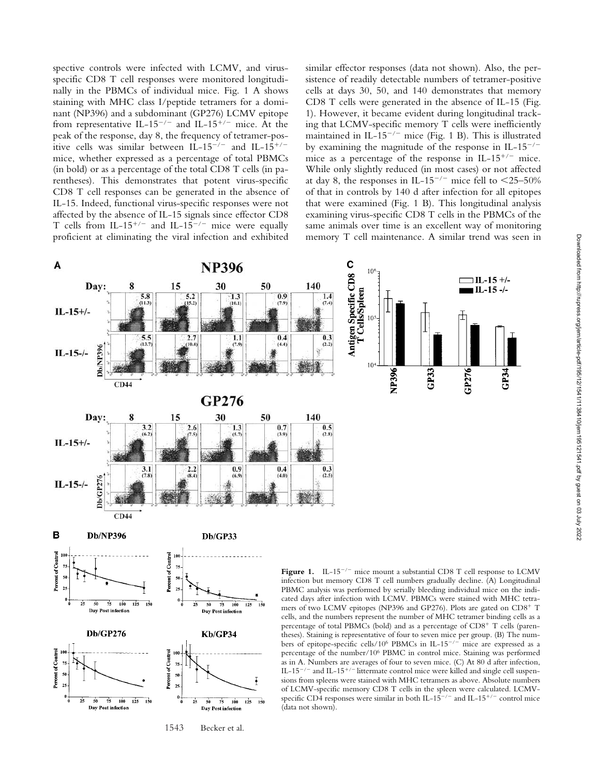spective controls were infected with LCMV, and virusspecific CD8 T cell responses were monitored longitudinally in the PBMCs of individual mice. Fig. 1 A shows staining with MHC class I/peptide tetramers for a dominant (NP396) and a subdominant (GP276) LCMV epitope from representative IL-15<sup>-/-</sup> and IL-15<sup>+/-</sup> mice. At the peak of the response, day 8, the frequency of tetramer-positive cells was similar between IL-15<sup>-/-</sup> and IL-15<sup>+/-</sup> mice, whether expressed as a percentage of total PBMCs (in bold) or as a percentage of the total CD8 T cells (in parentheses). This demonstrates that potent virus-specific CD8 T cell responses can be generated in the absence of IL-15. Indeed, functional virus-specific responses were not affected by the absence of IL-15 signals since effector CD8 T cells from IL-15<sup>+/-</sup> and IL-15<sup>-/-</sup> mice were equally proficient at eliminating the viral infection and exhibited similar effector responses (data not shown). Also, the persistence of readily detectable numbers of tetramer-positive cells at days 30, 50, and 140 demonstrates that memory CD8 T cells were generated in the absence of IL-15 (Fig. 1). However, it became evident during longitudinal tracking that LCMV-specific memory T cells were inefficiently maintained in IL-15<sup>-/-</sup> mice (Fig. 1 B). This is illustrated by examining the magnitude of the response in IL- $15^{-/-}$ mice as a percentage of the response in IL-15<sup>+/-</sup> mice. While only slightly reduced (in most cases) or not affected at day 8, the responses in IL-15<sup>-/-</sup> mice fell to  $\leq$ 25-50% of that in controls by 140 d after infection for all epitopes that were examined (Fig. 1 B). This longitudinal analysis examining virus-specific CD8 T cells in the PBMCs of the same animals over time is an excellent way of monitoring memory T cell maintenance. A similar trend was seen in



1543 Becker et al.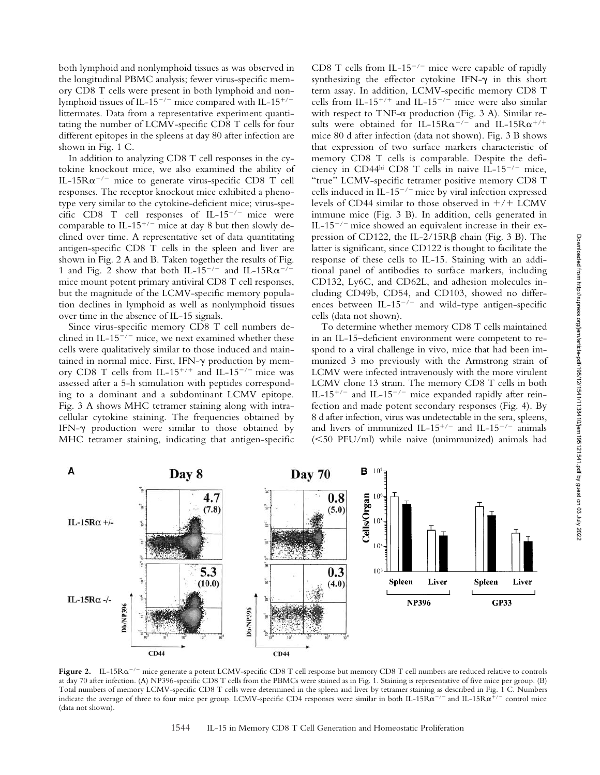both lymphoid and nonlymphoid tissues as was observed in the longitudinal PBMC analysis; fewer virus-specific memory CD8 T cells were present in both lymphoid and nonlymphoid tissues of IL-15<sup>-/-</sup> mice compared with IL-15<sup>+/-</sup> littermates. Data from a representative experiment quantitating the number of LCMV-specific CD8 T cells for four different epitopes in the spleens at day 80 after infection are shown in Fig. 1 C.

In addition to analyzing CD8 T cell responses in the cytokine knockout mice, we also examined the ability of IL-15 $R\alpha^{-/-}$  mice to generate virus-specific CD8 T cell responses. The receptor knockout mice exhibited a phenotype very similar to the cytokine-deficient mice; virus-specific CD8 T cell responses of IL-15<sup>-/-</sup> mice were comparable to IL-15<sup>+/-</sup> mice at day 8 but then slowly declined over time. A representative set of data quantitating antigen-specific CD8 T cells in the spleen and liver are shown in Fig. 2 A and B. Taken together the results of Fig. 1 and Fig. 2 show that both IL-15<sup>-/-</sup> and IL-15 $R\alpha^{-/-}$ mice mount potent primary antiviral CD8 T cell responses, but the magnitude of the LCMV-specific memory population declines in lymphoid as well as nonlymphoid tissues over time in the absence of IL-15 signals.

Since virus-specific memory CD8 T cell numbers declined in IL-15<sup>-/-</sup> mice, we next examined whether these cells were qualitatively similar to those induced and maintained in normal mice. First, IFN-y production by memory CD8 T cells from IL-15<sup>+/+</sup> and IL-15<sup>-/-</sup> mice was assessed after a 5-h stimulation with peptides corresponding to a dominant and a subdominant LCMV epitope. Fig. 3 A shows MHC tetramer staining along with intracellular cytokine staining. The frequencies obtained by IFN- production were similar to those obtained by MHC tetramer staining, indicating that antigen-specific

CD8 T cells from IL-15<sup>-/-</sup> mice were capable of rapidly synthesizing the effector cytokine IFN- $\gamma$  in this short term assay. In addition, LCMV-specific memory CD8 T cells from IL-15<sup>+/+</sup> and IL-15<sup>-/-</sup> mice were also similar with respect to TNF- $\alpha$  production (Fig. 3 A). Similar results were obtained for IL-15 $R\alpha^{-/-}$  and IL-15 $R\alpha^{+/+}$ mice 80 d after infection (data not shown). Fig. 3 B shows that expression of two surface markers characteristic of memory CD8 T cells is comparable. Despite the deficiency in CD44hi CD8 T cells in naive IL-15<sup>-/-</sup> mice, "true" LCMV-specific tetramer positive memory CD8 T cells induced in IL-15<sup>-/-</sup> mice by viral infection expressed levels of CD44 similar to those observed in  $+/+$  LCMV immune mice (Fig. 3 B). In addition, cells generated in IL-15<sup>-/-</sup> mice showed an equivalent increase in their expression of CD122, the IL-2/15R $\beta$  chain (Fig. 3 B). The latter is significant, since CD122 is thought to facilitate the response of these cells to IL-15. Staining with an additional panel of antibodies to surface markers, including CD132, Ly6C, and CD62L, and adhesion molecules including CD49b, CD54, and CD103, showed no differences between IL-15<sup>-/-</sup> and wild-type antigen-specific cells (data not shown).

To determine whether memory CD8 T cells maintained in an IL-15–deficient environment were competent to respond to a viral challenge in vivo, mice that had been immunized 3 mo previously with the Armstrong strain of LCMV were infected intravenously with the more virulent LCMV clone 13 strain. The memory CD8 T cells in both IL-15<sup>+/-</sup> and IL-15<sup>-/-</sup> mice expanded rapidly after reinfection and made potent secondary responses (Fig. 4). By 8 d after infection, virus was undetectable in the sera, spleens, and livers of immunized IL-15<sup>+/-</sup> and IL-15<sup>-/-</sup> animals  $(<50$  PFU/ml) while naive (unimmunized) animals had



**Figure 2.**  $\left| \text{L-15R}\alpha^{-/-} \right|$  mice generate a potent LCMV-specific CD8 T cell response but memory CD8 T cell numbers are reduced relative to controls at day 70 after infection. (A) NP396-specific CD8 T cells from the PBMCs were stained as in Fig. 1. Staining is representative of five mice per group. (B) Total numbers of memory LCMV-specific CD8 T cells were determined in the spleen and liver by tetramer staining as described in Fig. 1 C. Numbers indicate the average of three to four mice per group. LCMV-specific CD4 responses were similar in both IL-15R $\alpha^{-/-}$  and IL-15R $\alpha^{+/-}$  control mice (data not shown).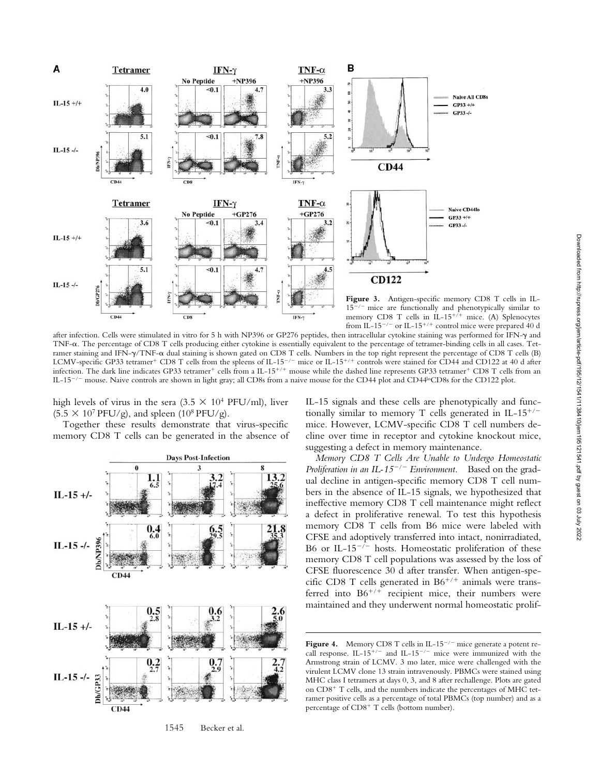

after infection. Cells were stimulated in vitro for 5 h with NP396 or GP276 peptides, then intracellular cytokine staining was performed for IFN- $\gamma$  and TNF- $\alpha$ . The percentage of CD8 T cells producing either cytokine is essentially equivalent to the percentage of tetramer-binding cells in all cases. Tetramer staining and IFN- $\gamma$ /TNF- $\alpha$  dual staining is shown gated on CD8 T cells. Numbers in the top right represent the percentage of CD8 T cells (B) LCMV-specific GP33 tetramer<sup>+</sup> CD8 T cells from the spleens of IL-15<sup>-/-</sup> mice or IL-15<sup>+/+</sup> controls were stained for CD44 and CD122 at 40 d after infection. The dark line indicates GP33 tetramer<sup>+</sup> cells from a IL-15<sup>+/+</sup> mouse while the dashed line represents GP33 tetramer<sup>+</sup> CD8 T cells from an IL-15<sup>-/-</sup> mouse. Naive controls are shown in light gray; all CD8s from a naive mouse for the CD44 plot and CD44<sup>lo</sup>CD8s for the CD122 plot.

high levels of virus in the sera (3.5  $\times$  10<sup>4</sup> PFU/ml), liver  $(5.5 \times 10^7 \text{ PFU/g})$ , and spleen  $(10^8 \text{ PFU/g})$ .

Together these results demonstrate that virus-specific memory CD8 T cells can be generated in the absence of



1545 Becker et al.

IL-15 signals and these cells are phenotypically and functionally similar to memory T cells generated in IL-15<sup>+/-</sup> mice. However, LCMV-specific CD8 T cell numbers decline over time in receptor and cytokine knockout mice, suggesting a defect in memory maintenance.

*Memory CD8 T Cells Are Unable to Undergo Homeostatic Proliferation in an IL-15/ Environment.* Based on the gradual decline in antigen-specific memory CD8 T cell numbers in the absence of IL-15 signals, we hypothesized that ineffective memory CD8 T cell maintenance might reflect a defect in proliferative renewal. To test this hypothesis memory CD8 T cells from B6 mice were labeled with CFSE and adoptively transferred into intact, nonirradiated, B6 or IL-15<sup>- $\bar{i}$ </sup> hosts. Homeostatic proliferation of these memory CD8 T cell populations was assessed by the loss of CFSE fluorescence 30 d after transfer. When antigen-specific CD8 T cells generated in  $B6^{+/+}$  animals were transferred into  $B6^{+/+}$  recipient mice, their numbers were maintained and they underwent normal homeostatic prolif-

**Figure 4.** Memory CD8 T cells in IL-15<sup> $-/-$ </sup> mice generate a potent recall response. IL-15<sup>+/-</sup> and IL-15<sup>-/-</sup> mice were immunized with the Armstrong strain of LCMV. 3 mo later, mice were challenged with the virulent LCMV clone 13 strain intravenously. PBMCs were stained using MHC class I tetramers at days 0, 3, and 8 after rechallenge. Plots are gated on  $CD8<sup>+</sup>$  T cells, and the numbers indicate the percentages of MHC tetramer positive cells as a percentage of total PBMCs (top number) and as a percentage of  $CD8<sup>+</sup>$  T cells (bottom number).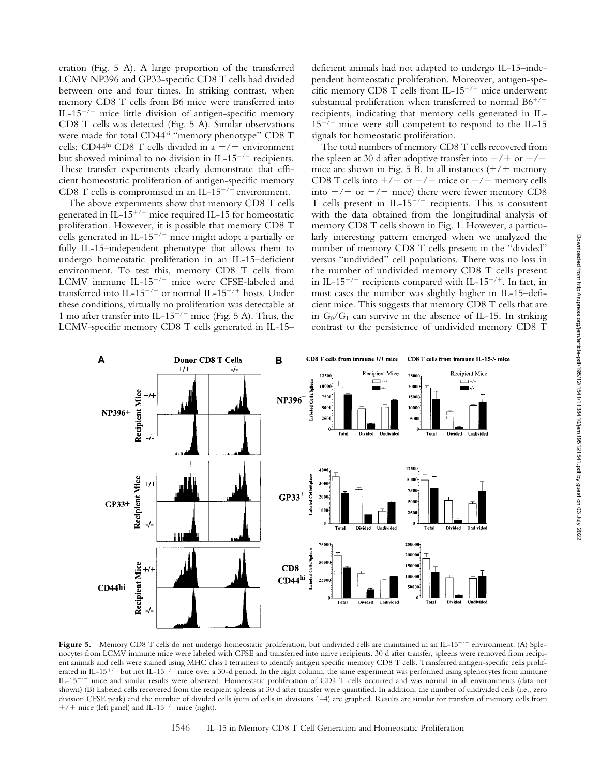eration (Fig. 5 A). A large proportion of the transferred LCMV NP396 and GP33-specific CD8 T cells had divided between one and four times. In striking contrast, when memory CD8 T cells from B6 mice were transferred into IL-15<sup>-/-</sup> mice little division of antigen-specific memory CD8 T cells was detected (Fig. 5 A). Similar observations were made for total CD44hi "memory phenotype" CD8 T cells; CD44<sup>hi</sup> CD8 T cells divided in a  $+/+$  environment but showed minimal to no division in IL-15<sup>-/-</sup> recipients. These transfer experiments clearly demonstrate that efficient homeostatic proliferation of antigen-specific memory CD8 T cells is compromised in an IL-15<sup>-/-</sup> environment.

The above experiments show that memory CD8 T cells generated in IL- $15^{+/+}$  mice required IL-15 for homeostatic proliferation. However, it is possible that memory CD8 T cells generated in IL-15<sup>-/-</sup> mice might adopt a partially or fully IL-15–independent phenotype that allows them to undergo homeostatic proliferation in an IL-15–deficient environment. To test this, memory CD8 T cells from LCMV immune IL-15<sup>-/-</sup> mice were CFSE-labeled and transferred into IL-15<sup>-/-</sup> or normal IL-15<sup>+/+</sup> hosts. Under these conditions, virtually no proliferation was detectable at 1 mo after transfer into IL-15<sup>-/-</sup> mice (Fig. 5 A). Thus, the LCMV-specific memory CD8 T cells generated in IL-15– deficient animals had not adapted to undergo IL-15–independent homeostatic proliferation. Moreover, antigen-specific memory CD8 T cells from IL-15<sup>-/-</sup> mice underwent substantial proliferation when transferred to normal  $B6^{+/+}$ recipients, indicating that memory cells generated in IL- $15^{-/-}$  mice were still competent to respond to the IL-15 signals for homeostatic proliferation.

The total numbers of memory CD8 T cells recovered from the spleen at 30 d after adoptive transfer into  $+/+$  or  $-/$ mice are shown in Fig. 5 B. In all instances  $(+/+)$  memory CD8 T cells into  $+/+$  or  $-/-$  mice or  $-/-$  memory cells into  $+/+$  or  $-/-$  mice) there were fewer memory CD8 T cells present in IL-15<sup>-/-</sup> recipients. This is consistent with the data obtained from the longitudinal analysis of memory CD8 T cells shown in Fig. 1. However, a particularly interesting pattern emerged when we analyzed the number of memory CD8 T cells present in the "divided" versus "undivided" cell populations. There was no loss in the number of undivided memory CD8 T cells present in IL-15<sup>-/-</sup> recipients compared with IL-15<sup>+/+</sup>. In fact, in most cases the number was slightly higher in IL-15–deficient mice. This suggests that memory CD8 T cells that are in  $G_0/G_1$  can survive in the absence of IL-15. In striking contrast to the persistence of undivided memory CD8 T



Figure 5. Memory CD8 T cells do not undergo homeostatic proliferation, but undivided cells are maintained in an IL-15<sup>-/-</sup> environment. (A) Splenocytes from LCMV immune mice were labeled with CFSE and transferred into naive recipients. 30 d after transfer, spleens were removed from recipient animals and cells were stained using MHC class I tetramers to identify antigen specific memory CD8 T cells. Transferred antigen-specific cells proliferated in IL-15<sup>+/+</sup> but not IL-15<sup>-/-</sup> mice over a 30-d period. In the right column, the same experiment was performed using splenocytes from immune IL-15<sup>-/-</sup> mice and similar results were observed. Homeostatic proliferation of CD4 T cells occurred and was normal in all environments (data not shown) (B) Labeled cells recovered from the recipient spleens at 30 d after transfer were quantified. In addition, the number of undivided cells (i.e., zero division CFSE peak) and the number of divided cells (sum of cells in divisions 1–4) are graphed. Results are similar for transfers of memory cells from  $+/+$  mice (left panel) and IL-15<sup>-/-</sup> mice (right).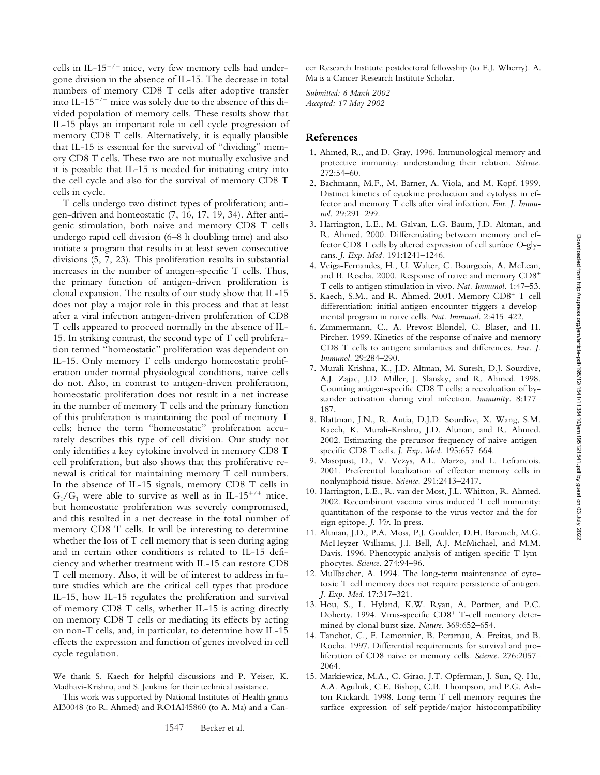cells in IL-15<sup>-/-</sup> mice, very few memory cells had undergone division in the absence of IL-15. The decrease in total numbers of memory CD8 T cells after adoptive transfer into IL-15<sup>-/-</sup> mice was solely due to the absence of this divided population of memory cells. These results show that IL-15 plays an important role in cell cycle progression of memory CD8 T cells. Alternatively, it is equally plausible that IL-15 is essential for the survival of "dividing" memory CD8 T cells. These two are not mutually exclusive and it is possible that IL-15 is needed for initiating entry into the cell cycle and also for the survival of memory CD8 T cells in cycle.

T cells undergo two distinct types of proliferation; antigen-driven and homeostatic (7, 16, 17, 19, 34). After antigenic stimulation, both naive and memory CD8 T cells undergo rapid cell division (6–8 h doubling time) and also initiate a program that results in at least seven consecutive divisions (5, 7, 23). This proliferation results in substantial increases in the number of antigen-specific T cells. Thus, the primary function of antigen-driven proliferation is clonal expansion. The results of our study show that IL-15 does not play a major role in this process and that at least after a viral infection antigen-driven proliferation of CD8 T cells appeared to proceed normally in the absence of IL-15. In striking contrast, the second type of T cell proliferation termed "homeostatic" proliferation was dependent on IL-15. Only memory T cells undergo homeostatic proliferation under normal physiological conditions, naive cells do not. Also, in contrast to antigen-driven proliferation, homeostatic proliferation does not result in a net increase in the number of memory T cells and the primary function of this proliferation is maintaining the pool of memory T cells; hence the term "homeostatic" proliferation accurately describes this type of cell division. Our study not only identifies a key cytokine involved in memory CD8 T cell proliferation, but also shows that this proliferative renewal is critical for maintaining memory T cell numbers. In the absence of IL-15 signals, memory CD8 T cells in  $G_0/G_1$  were able to survive as well as in IL-15<sup>+/+</sup> mice, but homeostatic proliferation was severely compromised, and this resulted in a net decrease in the total number of memory CD8 T cells. It will be interesting to determine whether the loss of T cell memory that is seen during aging and in certain other conditions is related to IL-15 deficiency and whether treatment with IL-15 can restore CD8 T cell memory. Also, it will be of interest to address in future studies which are the critical cell types that produce IL-15, how IL-15 regulates the proliferation and survival of memory CD8 T cells, whether IL-15 is acting directly on memory CD8 T cells or mediating its effects by acting on non-T cells, and, in particular, to determine how IL-15 effects the expression and function of genes involved in cell cycle regulation.

We thank S. Kaech for helpful discussions and P. Yeiser, K. Madhavi-Krishna, and S. Jenkins for their technical assistance.

This work was supported by National Institutes of Health grants AI30048 (to R. Ahmed) and RO1AI45860 (to A. Ma) and a Cancer Research Institute postdoctoral fellowship (to E.J. Wherry). A. Ma is a Cancer Research Institute Scholar.

*Submitted: 6 March 2002 Accepted: 17 May 2002*

# **References**

- 1. Ahmed, R., and D. Gray. 1996. Immunological memory and protective immunity: understanding their relation. *Science.* 272:54–60.
- 2. Bachmann, M.F., M. Barner, A. Viola, and M. Kopf. 1999. Distinct kinetics of cytokine production and cytolysis in effector and memory T cells after viral infection. *Eur. J. Immunol.* 29:291–299.
- 3. Harrington, L.E., M. Galvan, L.G. Baum, J.D. Altman, and R. Ahmed. 2000. Differentiating between memory and effector CD8 T cells by altered expression of cell surface *O*-glycans. *J. Exp. Med.* 191:1241–1246.
- 4. Veiga-Fernandes, H., U. Walter, C. Bourgeois, A. McLean, and B. Rocha. 2000. Response of naive and memory CD8+ T cells to antigen stimulation in vivo. *Nat. Immunol.* 1:47–53.
- 5. Kaech, S.M., and R. Ahmed. 2001. Memory CD8+ T cell differentiation: initial antigen encounter triggers a developmental program in naive cells. *Nat. Immunol.* 2:415–422.
- 6. Zimmermann, C., A. Prevost-Blondel, C. Blaser, and H. Pircher. 1999. Kinetics of the response of naive and memory CD8 T cells to antigen: similarities and differences. *Eur. J. Immunol.* 29:284–290.
- 7. Murali-Krishna, K., J.D. Altman, M. Suresh, D.J. Sourdive, A.J. Zajac, J.D. Miller, J. Slansky, and R. Ahmed. 1998. Counting antigen-specific CD8 T cells: a reevaluation of bystander activation during viral infection. *Immunity.* 8:177– 187.
- 8. Blattman, J.N., R. Antia, D.J.D. Sourdive, X. Wang, S.M. Kaech, K. Murali-Krishna, J.D. Altman, and R. Ahmed. 2002. Estimating the precursor frequency of naive antigenspecific CD8 T cells. *J. Exp. Med.* 195:657–664.
- 9. Masopust, D., V. Vezys, A.L. Marzo, and L. Lefrancois. 2001. Preferential localization of effector memory cells in nonlymphoid tissue. *Science.* 291:2413–2417.
- 10. Harrington, L.E., R. van der Most, J.L. Whitton, R. Ahmed. 2002. Recombinant vaccina virus induced T cell immunity: quantitation of the response to the virus vector and the foreign epitope. *J. Vir.* In press.
- 11. Altman, J.D., P.A. Moss, P.J. Goulder, D.H. Barouch, M.G. McHeyzer-Williams, J.I. Bell, A.J. McMichael, and M.M. Davis. 1996. Phenotypic analysis of antigen-specific T lymphocytes. *Science.* 274:94–96.
- 12. Mullbacher, A. 1994. The long-term maintenance of cytotoxic T cell memory does not require persistence of antigen. *J. Exp. Med.* 17:317–321.
- 13. Hou, S., L. Hyland, K.W. Ryan, A. Portner, and P.C. Doherty. 1994. Virus-specific CD8+ T-cell memory determined by clonal burst size. *Nature.* 369:652–654.
- 14. Tanchot, C., F. Lemonnier, B. Perarnau, A. Freitas, and B. Rocha. 1997. Differential requirements for survival and proliferation of CD8 naive or memory cells. *Science.* 276:2057– 2064.
- 15. Markiewicz, M.A., C. Girao, J.T. Opferman, J. Sun, Q. Hu, A.A. Agulnik, C.E. Bishop, C.B. Thompson, and P.G. Ashton-Rickardt. 1998. Long-term T cell memory requires the surface expression of self-peptide/major histocompatibility